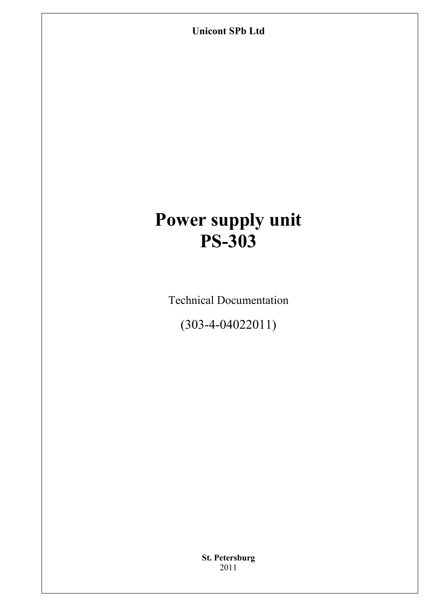**Unicont SPb Ltd** 

# **Power supply unit PS-303**

Technical Documentation

(303-4-04022011)

**St. Petersburg** 2011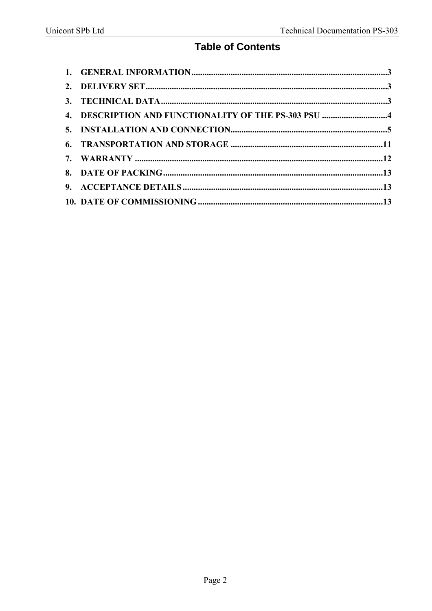### **Table of Contents**

| 4. DESCRIPTION AND FUNCTIONALITY OF THE PS-303 PSU 4 |  |
|------------------------------------------------------|--|
|                                                      |  |
|                                                      |  |
|                                                      |  |
|                                                      |  |
|                                                      |  |
|                                                      |  |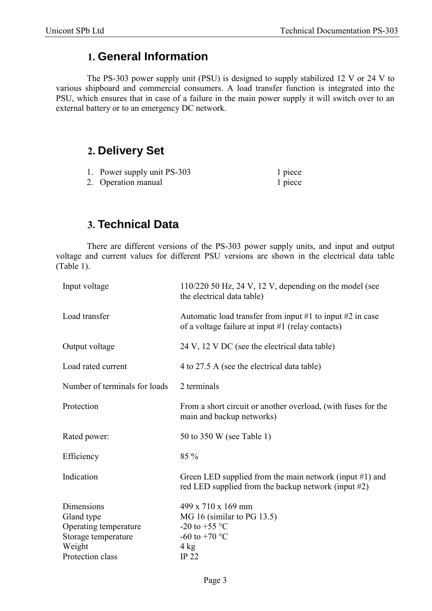# **1. General Information**

The PS-303 power supply unit (PSU) is designed to supply stabilized 12 V or 24 V to various shipboard and commercial consumers. A load transfer function is integrated into the PSU, which ensures that in case of a failure in the main power supply it will switch over to an external battery or to an emergency DC network.

# **2. Delivery Set**

- 1. Power supply unit PS-303 1 piece
- 2. Operation manual 1 piece

### **3. Technical Data**

There are different versions of the PS-303 power supply units, and input and output voltage and current values for different PSU versions are shown in the electrical data table (Table 1).

| $110/220$ 50 Hz, 24 V, 12 V, depending on the model (see<br>the electrical data table)                                              |  |  |  |  |
|-------------------------------------------------------------------------------------------------------------------------------------|--|--|--|--|
| Automatic load transfer from input #1 to input #2 in case<br>of a voltage failure at input #1 (relay contacts)                      |  |  |  |  |
| 24 V, 12 V DC (see the electrical data table)                                                                                       |  |  |  |  |
| 4 to 27.5 A (see the electrical data table)                                                                                         |  |  |  |  |
| 2 terminals                                                                                                                         |  |  |  |  |
| From a short circuit or another overload, (with fuses for the<br>main and backup networks)                                          |  |  |  |  |
| 50 to 350 W (see Table 1)                                                                                                           |  |  |  |  |
| 85 %                                                                                                                                |  |  |  |  |
| Green LED supplied from the main network (input $#1$ ) and<br>red LED supplied from the backup network (input $#2$ )                |  |  |  |  |
| 499 x 710 x 169 mm<br>MG 16 (similar to PG 13.5)<br>-20 to +55 $^{\circ}$ C<br>-60 to +70 $^{\circ}$ C<br>$4 \text{ kg}$<br>$IP$ 22 |  |  |  |  |
|                                                                                                                                     |  |  |  |  |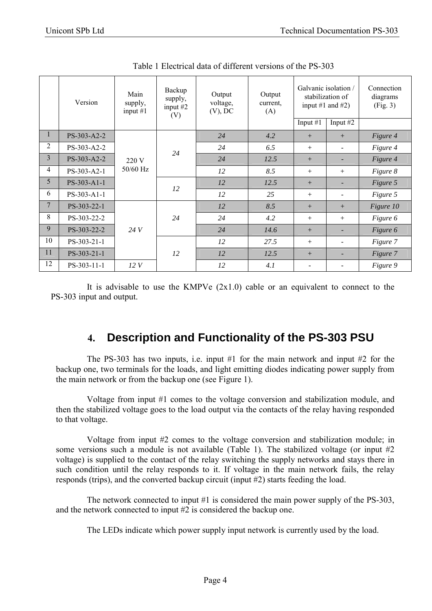|                | Version     | Main<br>supply,<br>input $#1$ | Backup<br>supply,<br>input $#2$<br>(V) | Output<br>voltage,<br>$(V)$ , DC | Output<br>current,<br>(A) | Galvanic isolation /<br>input #1 and #2) | stabilization of | Connection<br>diagrams<br>(Fig. 3) |          |
|----------------|-------------|-------------------------------|----------------------------------------|----------------------------------|---------------------------|------------------------------------------|------------------|------------------------------------|----------|
|                |             |                               |                                        |                                  |                           | Input $#1$                               | Input $#2$       |                                    |          |
| 1              | PS-303-A2-2 | 220 V<br>50/60 Hz             |                                        | 24                               | 4.2                       | $+$                                      | $+$              | Figure 4                           |          |
| 2              | PS-303-A2-2 |                               |                                        | 24                               | 24                        | 6.5                                      | $^{+}$           |                                    | Figure 4 |
| $\overline{3}$ | PS-303-A2-2 |                               |                                        | 24                               | 12.5                      | $+$                                      |                  | Figure 4                           |          |
| $\overline{4}$ | PS-303-A2-1 |                               |                                        | 12                               | 8.5                       | $^{+}$                                   | $^{+}$           | Figure 8                           |          |
| 5              | PS-303-A1-1 |                               | 12                                     | 12                               | 12.5                      | $+$                                      |                  | Figure 5                           |          |
| 6              | PS-303-A1-1 |                               |                                        | 12                               | 25                        | $^{+}$                                   |                  | Figure 5                           |          |
| 7              | PS-303-22-1 | 24 V<br>12V                   |                                        | 12                               | 8.5                       | $+$                                      | $+$              | Figure 10                          |          |
| 8              | PS-303-22-2 |                               | 24                                     | 24                               | 4.2                       | $+$                                      | $^{+}$           | Figure 6                           |          |
| 9              | PS-303-22-2 |                               |                                        | 24                               | 14.6                      | $+$                                      |                  | Figure 6                           |          |
| 10             | PS-303-21-1 |                               |                                        | 12                               | 27.5                      | $^{+}$                                   |                  | Figure 7                           |          |
| 11             | PS-303-21-1 |                               | 12                                     | 12                               | 12.5                      | $+$                                      |                  | Figure 7                           |          |
| 12             | PS-303-11-1 |                               |                                        | 12                               | 4.1                       |                                          |                  | Figure 9                           |          |

Table 1 Electrical data of different versions of the PS-303

It is advisable to use the KMPVe  $(2x1.0)$  cable or an equivalent to connect to the PS-303 input and output.

# **4. Description and Functionality of the PS-303 PSU**

The PS-303 has two inputs, i.e. input #1 for the main network and input #2 for the backup one, two terminals for the loads, and light emitting diodes indicating power supply from the main network or from the backup one (see Figure 1).

Voltage from input #1 comes to the voltage conversion and stabilization module, and then the stabilized voltage goes to the load output via the contacts of the relay having responded to that voltage.

Voltage from input #2 comes to the voltage conversion and stabilization module; in some versions such a module is not available (Table 1). The stabilized voltage (or input #2 voltage) is supplied to the contact of the relay switching the supply networks and stays there in such condition until the relay responds to it. If voltage in the main network fails, the relay responds (trips), and the converted backup circuit (input #2) starts feeding the load.

The network connected to input #1 is considered the main power supply of the PS-303, and the network connected to input #2 is considered the backup one.

The LEDs indicate which power supply input network is currently used by the load.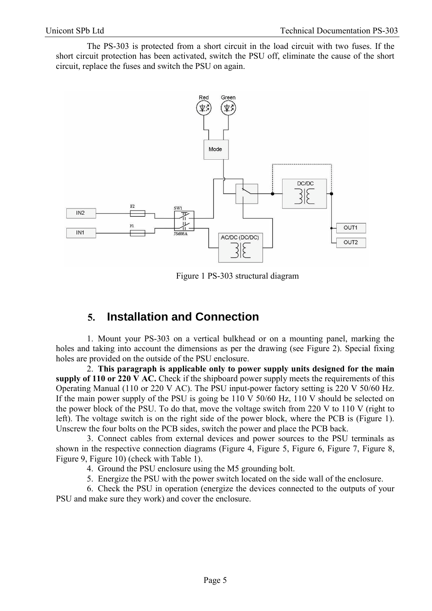The PS-303 is protected from a short circuit in the load circuit with two fuses. If the short circuit protection has been activated, switch the PSU off, eliminate the cause of the short circuit, replace the fuses and switch the PSU on again.



Figure 1 PS-303 structural diagram

### **5. Installation and Connection**

1. Mount your PS-303 on a vertical bulkhead or on a mounting panel, marking the holes and taking into account the dimensions as per the drawing (see Figure 2). Special fixing holes are provided on the outside of the PSU enclosure.

2. **This paragraph is applicable only to power supply units designed for the main supply of 110 or 220 V AC.** Check if the shipboard power supply meets the requirements of this Operating Manual (110 or 220 V AC). The PSU input-power factory setting is 220 V 50/60 Hz. If the main power supply of the PSU is going be 110 V 50/60 Hz, 110 V should be selected on the power block of the PSU. To do that, move the voltage switch from 220 V to 110 V (right to left). The voltage switch is on the right side of the power block, where the PCB is (Figure 1). Unscrew the four bolts on the PCB sides, switch the power and place the PCB back.

3. Connect cables from external devices and power sources to the PSU terminals as shown in the respective connection diagrams (Figure 4, Figure 5, Figure 6, Figure 7, Figure 8, Figure 9, Figure 10) (check with Table 1).

4. Ground the PSU enclosure using the M5 grounding bolt.

5. Energize the PSU with the power switch located on the side wall of the enclosure.

6. Check the PSU in operation (energize the devices connected to the outputs of your PSU and make sure they work) and cover the enclosure.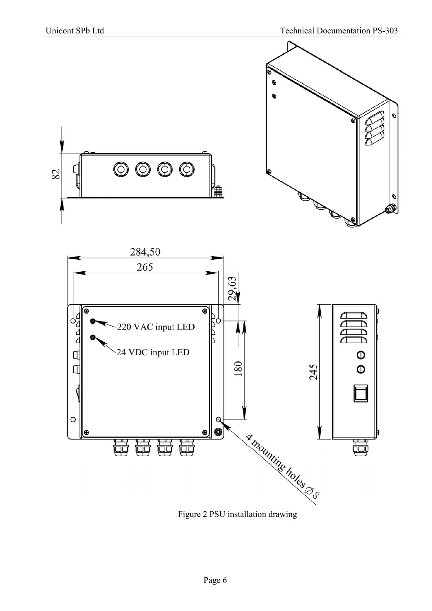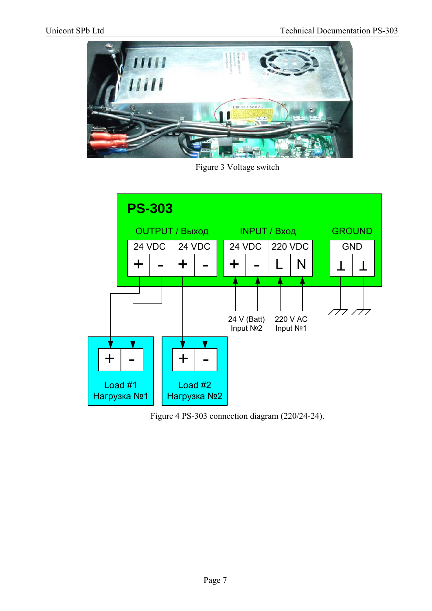

Figure 3 Voltage switch



Figure 4 PS-303 connection diagram (220/24-24).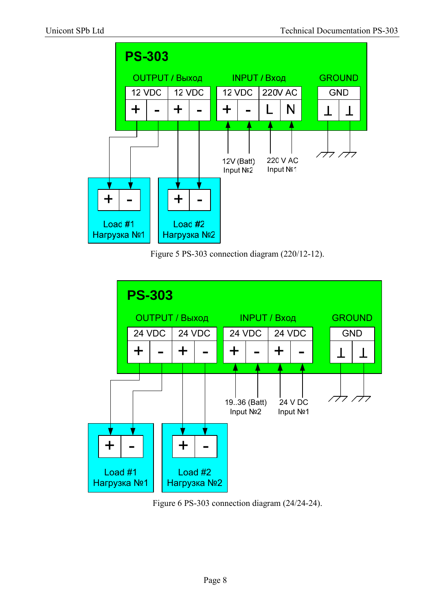





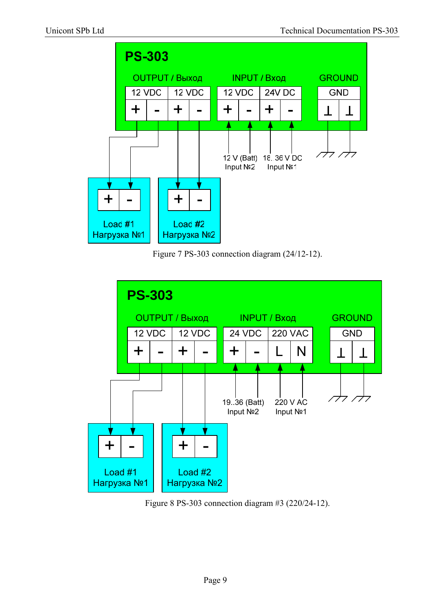





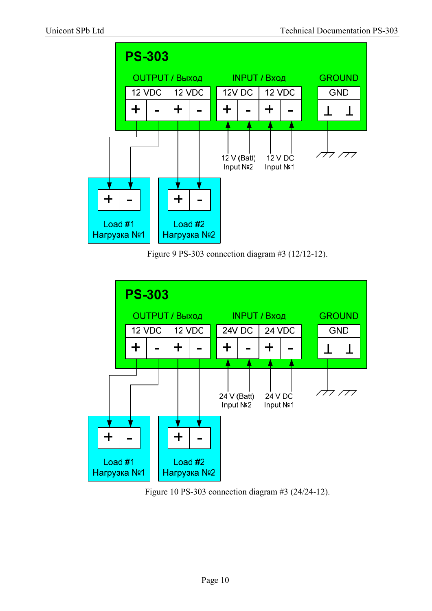

Figure 9 PS-303 connection diagram #3 (12/12-12).



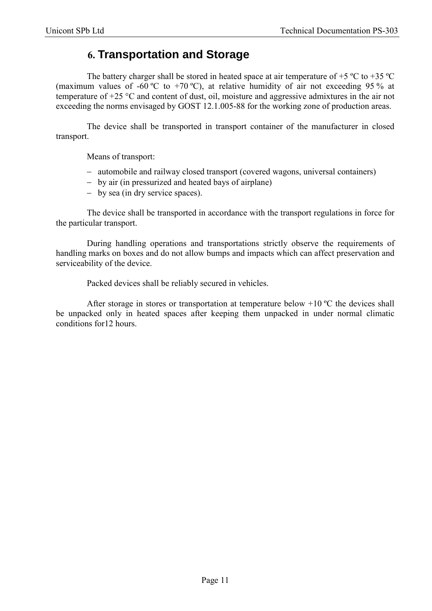## **6. Transportation and Storage**

The battery charger shall be stored in heated space at air temperature of  $+5$  °C to  $+35$  °C (maximum values of -60 °C to +70 °C), at relative humidity of air not exceeding 95 % at temperature of +25 °C and content of dust, oil, moisture and aggressive admixtures in the air not exceeding the norms envisaged by GOST 12.1.005-88 for the working zone of production areas.

The device shall be transported in transport container of the manufacturer in closed transport.

Means of transport:

- automobile and railway closed transport (covered wagons, universal containers)
- by air (in pressurized and heated bays of airplane)
- by sea (in dry service spaces).

The device shall be transported in accordance with the transport regulations in force for the particular transport.

During handling operations and transportations strictly observe the requirements of handling marks on boxes and do not allow bumps and impacts which can affect preservation and serviceability of the device.

Packed devices shall be reliably secured in vehicles.

After storage in stores or transportation at temperature below  $+10$  °C the devices shall be unpacked only in heated spaces after keeping them unpacked in under normal climatic conditions for12 hours.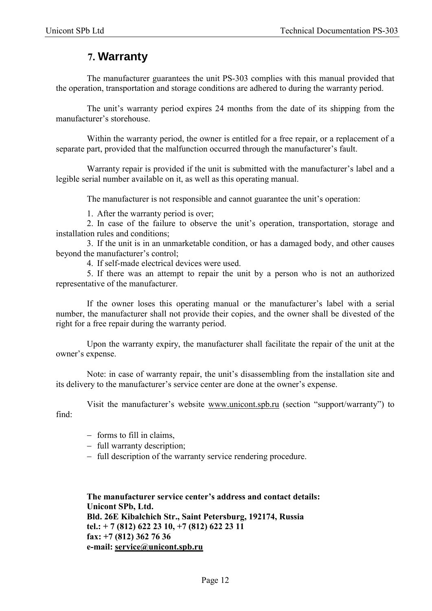#### **7. Warranty**

The manufacturer guarantees the unit PS-303 complies with this manual provided that the operation, transportation and storage conditions are adhered to during the warranty period.

The unit's warranty period expires 24 months from the date of its shipping from the manufacturer's storehouse.

Within the warranty period, the owner is entitled for a free repair, or a replacement of a separate part, provided that the malfunction occurred through the manufacturer's fault.

Warranty repair is provided if the unit is submitted with the manufacturer's label and a legible serial number available on it, as well as this operating manual.

The manufacturer is not responsible and cannot guarantee the unit's operation:

1. After the warranty period is over;

2. In case of the failure to observe the unit's operation, transportation, storage and installation rules and conditions;

3. If the unit is in an unmarketable condition, or has a damaged body, and other causes beyond the manufacturer's control;

4. If self-made electrical devices were used.

5. If there was an attempt to repair the unit by a person who is not an authorized representative of the manufacturer.

If the owner loses this operating manual or the manufacturer's label with a serial number, the manufacturer shall not provide their copies, and the owner shall be divested of the right for a free repair during the warranty period.

Upon the warranty expiry, the manufacturer shall facilitate the repair of the unit at the owner's expense.

Note: in case of warranty repair, the unit's disassembling from the installation site and its delivery to the manufacturer's service center are done at the owner's expense.

Visit the manufacturer's website www.unicont.spb.ru (section "support/warranty") to

find:

- $-$  forms to fill in claims,
- full warranty description;
- full description of the warranty service rendering procedure.

**The manufacturer service center's address and contact details: Unicont SPb, Ltd. Bld. 26Е Kibalchich Str., Saint Petersburg, 192174, Russia tel.: + 7 (812) 622 23 10, +7 (812) 622 23 11 fax: +7 (812) 362 76 36 e-mail: service@unicont.spb.ru**